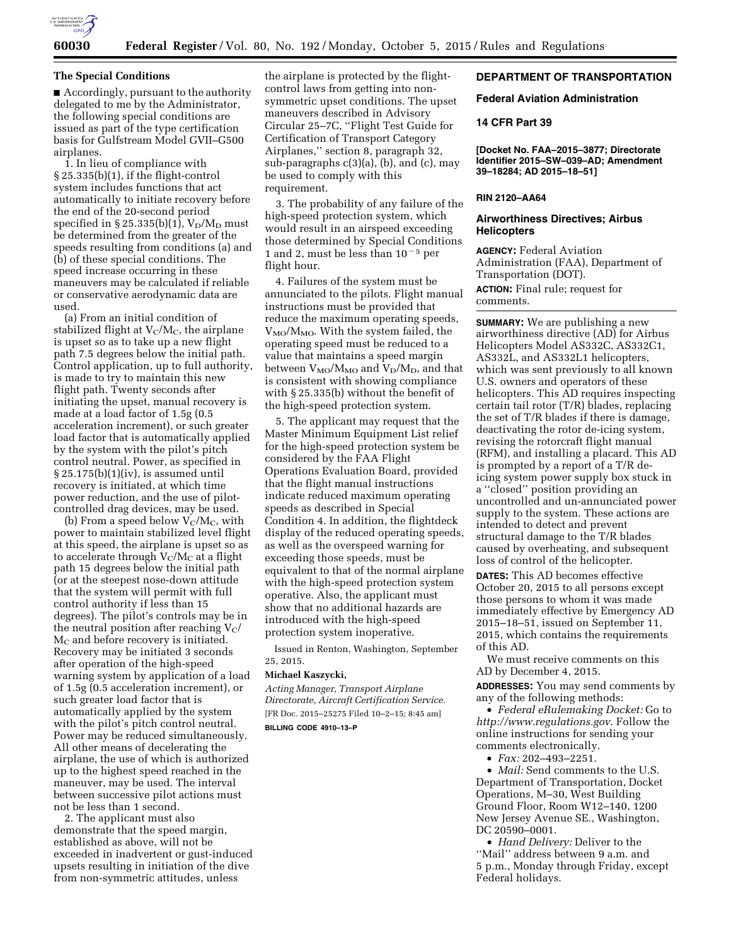

### **The Special Conditions**

■ Accordingly, pursuant to the authority delegated to me by the Administrator, the following special conditions are issued as part of the type certification basis for Gulfstream Model GVII–G500 airplanes.

1. In lieu of compliance with § 25.335(b)(1), if the flight-control system includes functions that act automatically to initiate recovery before the end of the 20-second period specified in § 25.335(b)(1),  $V_D/M_D$  must be determined from the greater of the speeds resulting from conditions (a) and (b) of these special conditions. The speed increase occurring in these maneuvers may be calculated if reliable or conservative aerodynamic data are used.

(a) From an initial condition of stabilized flight at  $V<sub>C</sub>/M<sub>C</sub>$ , the airplane is upset so as to take up a new flight path 7.5 degrees below the initial path. Control application, up to full authority, is made to try to maintain this new flight path. Twenty seconds after initiating the upset, manual recovery is made at a load factor of 1.5g (0.5 acceleration increment), or such greater load factor that is automatically applied by the system with the pilot's pitch control neutral. Power, as specified in § 25.175(b)(1)(iv), is assumed until recovery is initiated, at which time power reduction, and the use of pilotcontrolled drag devices, may be used.

(b) From a speed below  $V_c/M_c$ , with power to maintain stabilized level flight at this speed, the airplane is upset so as to accelerate through  $V_C/M_C$  at a flight path 15 degrees below the initial path (or at the steepest nose-down attitude that the system will permit with full control authority if less than 15 degrees). The pilot's controls may be in the neutral position after reaching  $V_C$  $M_C$  and before recovery is initiated. Recovery may be initiated 3 seconds after operation of the high-speed warning system by application of a load of 1.5g (0.5 acceleration increment), or such greater load factor that is automatically applied by the system with the pilot's pitch control neutral. Power may be reduced simultaneously. All other means of decelerating the airplane, the use of which is authorized up to the highest speed reached in the maneuver, may be used. The interval between successive pilot actions must not be less than 1 second.

2. The applicant must also demonstrate that the speed margin, established as above, will not be exceeded in inadvertent or gust-induced upsets resulting in initiation of the dive from non-symmetric attitudes, unless

the airplane is protected by the flightcontrol laws from getting into nonsymmetric upset conditions. The upset maneuvers described in Advisory Circular 25–7C, ''Flight Test Guide for Certification of Transport Category Airplanes,'' section 8, paragraph 32, sub-paragraphs c(3)(a), (b), and (c), may be used to comply with this requirement.

3. The probability of any failure of the high-speed protection system, which would result in an airspeed exceeding those determined by Special Conditions 1 and 2, must be less than  $10^{-5}$  per flight hour.

4. Failures of the system must be annunciated to the pilots. Flight manual instructions must be provided that reduce the maximum operating speeds,  $V_{\text{MO}}/M_{\text{MO}}$ . With the system failed, the operating speed must be reduced to a value that maintains a speed margin between  $V_{\text{MO}}/M_{\text{MO}}$  and  $V_{\text{D}}/M_{\text{D}}$ , and that is consistent with showing compliance with § 25.335(b) without the benefit of the high-speed protection system.

5. The applicant may request that the Master Minimum Equipment List relief for the high-speed protection system be considered by the FAA Flight Operations Evaluation Board, provided that the flight manual instructions indicate reduced maximum operating speeds as described in Special Condition 4. In addition, the flightdeck display of the reduced operating speeds, as well as the overspeed warning for exceeding those speeds, must be equivalent to that of the normal airplane with the high-speed protection system operative. Also, the applicant must show that no additional hazards are introduced with the high-speed protection system inoperative.

Issued in Renton, Washington, September 25, 2015.

# **Michael Kaszycki,**

*Acting Manager, Transport Airplane Directorate, Aircraft Certification Service.*  [FR Doc. 2015–25275 Filed 10–2–15; 8:45 am]

# **BILLING CODE 4910–13–P**

# **DEPARTMENT OF TRANSPORTATION**

## **Federal Aviation Administration**

## **14 CFR Part 39**

**[Docket No. FAA–2015–3877; Directorate Identifier 2015–SW–039–AD; Amendment 39–18284; AD 2015–18–51]** 

## **RIN 2120–AA64**

## **Airworthiness Directives; Airbus Helicopters**

**AGENCY:** Federal Aviation Administration (FAA), Department of Transportation (DOT).

**ACTION:** Final rule; request for comments.

**SUMMARY:** We are publishing a new airworthiness directive (AD) for Airbus Helicopters Model AS332C, AS332C1, AS332L, and AS332L1 helicopters, which was sent previously to all known U.S. owners and operators of these helicopters. This AD requires inspecting certain tail rotor (T/R) blades, replacing the set of T/R blades if there is damage, deactivating the rotor de-icing system, revising the rotorcraft flight manual (RFM), and installing a placard. This AD is prompted by a report of a T/R deicing system power supply box stuck in a ''closed'' position providing an uncontrolled and un-annunciated power supply to the system. These actions are intended to detect and prevent structural damage to the T/R blades caused by overheating, and subsequent loss of control of the helicopter.

**DATES:** This AD becomes effective October 20, 2015 to all persons except those persons to whom it was made immediately effective by Emergency AD 2015–18–51, issued on September 11, 2015, which contains the requirements of this AD.

We must receive comments on this AD by December 4, 2015.

**ADDRESSES:** You may send comments by any of the following methods:

• *Federal eRulemaking Docket:* Go to *<http://www.regulations.gov>*. Follow the online instructions for sending your comments electronically.

• *Fax:* 202–493–2251.

• *Mail:* Send comments to the U.S. Department of Transportation, Docket Operations, M–30, West Building Ground Floor, Room W12–140, 1200 New Jersey Avenue SE., Washington, DC 20590–0001.

• *Hand Delivery:* Deliver to the ''Mail'' address between 9 a.m. and 5 p.m., Monday through Friday, except Federal holidays.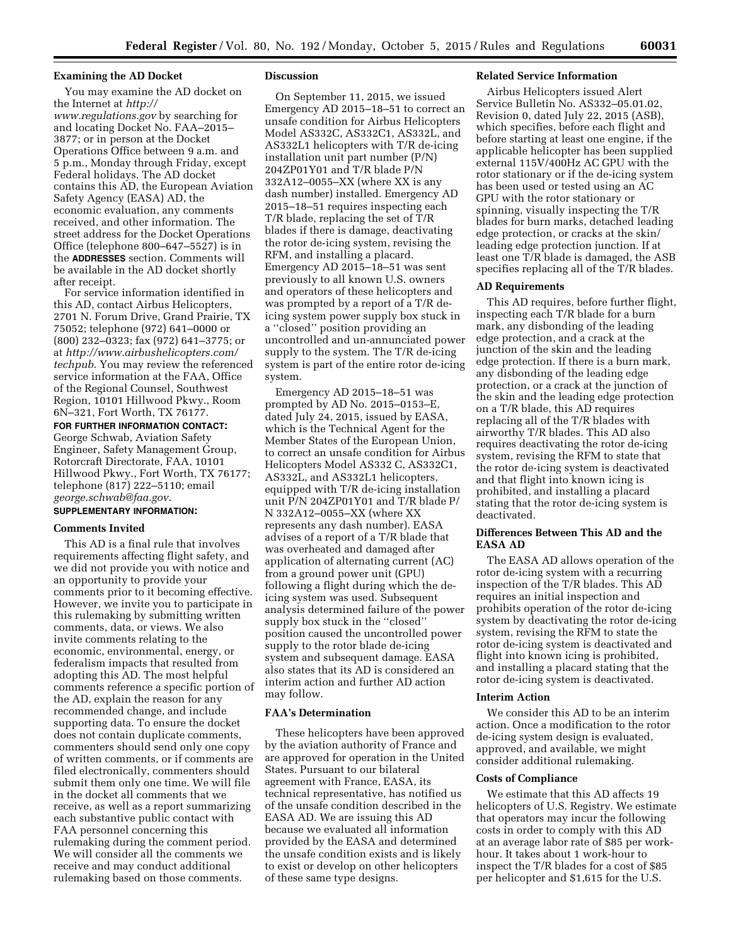# **Examining the AD Docket**

You may examine the AD docket on the Internet at *[http://](http://www.regulations.gov)*

*[www.regulations.gov](http://www.regulations.gov)* by searching for and locating Docket No. FAA–2015– 3877; or in person at the Docket Operations Office between 9 a.m. and 5 p.m., Monday through Friday, except Federal holidays. The AD docket contains this AD, the European Aviation Safety Agency (EASA) AD, the economic evaluation, any comments received, and other information. The street address for the Docket Operations Office (telephone 800–647–5527) is in the **ADDRESSES** section. Comments will be available in the AD docket shortly after receipt.

For service information identified in this AD, contact Airbus Helicopters, 2701 N. Forum Drive, Grand Prairie, TX 75052; telephone (972) 641–0000 or (800) 232–0323; fax (972) 641–3775; or at *[http://www.airbushelicopters.com/](http://www.airbushelicopters.com/techpub) [techpub](http://www.airbushelicopters.com/techpub)*. You may review the referenced service information at the FAA, Office of the Regional Counsel, Southwest Region, 10101 Hillwood Pkwy., Room 6N–321, Fort Worth, TX 76177.

**FOR FURTHER INFORMATION CONTACT:**  George Schwab, Aviation Safety Engineer, Safety Management Group, Rotorcraft Directorate, FAA, 10101 Hillwood Pkwy., Fort Worth, TX 76177; telephone (817) 222–5110; email *[george.schwab@faa.gov](mailto:george.schwab@faa.gov)*.

# **SUPPLEMENTARY INFORMATION:**

#### **Comments Invited**

This AD is a final rule that involves requirements affecting flight safety, and we did not provide you with notice and an opportunity to provide your comments prior to it becoming effective. However, we invite you to participate in this rulemaking by submitting written comments, data, or views. We also invite comments relating to the economic, environmental, energy, or federalism impacts that resulted from adopting this AD. The most helpful comments reference a specific portion of the AD, explain the reason for any recommended change, and include supporting data. To ensure the docket does not contain duplicate comments, commenters should send only one copy of written comments, or if comments are filed electronically, commenters should submit them only one time. We will file in the docket all comments that we receive, as well as a report summarizing each substantive public contact with FAA personnel concerning this rulemaking during the comment period. We will consider all the comments we receive and may conduct additional rulemaking based on those comments.

## **Discussion**

On September 11, 2015, we issued Emergency AD 2015–18–51 to correct an unsafe condition for Airbus Helicopters Model AS332C, AS332C1, AS332L, and AS332L1 helicopters with T/R de-icing installation unit part number (P/N) 204ZP01Y01 and T/R blade P/N 332A12–0055–XX (where XX is any dash number) installed. Emergency AD 2015–18–51 requires inspecting each T/R blade, replacing the set of T/R blades if there is damage, deactivating the rotor de-icing system, revising the RFM, and installing a placard. Emergency AD 2015–18–51 was sent previously to all known U.S. owners and operators of these helicopters and was prompted by a report of a T/R deicing system power supply box stuck in a ''closed'' position providing an uncontrolled and un-annunciated power supply to the system. The T/R de-icing system is part of the entire rotor de-icing system.

Emergency AD 2015–18–51 was prompted by AD No. 2015–0153–E, dated July 24, 2015, issued by EASA, which is the Technical Agent for the Member States of the European Union, to correct an unsafe condition for Airbus Helicopters Model AS332 C, AS332C1, AS332L, and AS332L1 helicopters, equipped with T/R de-icing installation unit P/N 204ZP01Y01 and T/R blade P/ N 332A12–0055–XX (where XX represents any dash number). EASA advises of a report of a T/R blade that was overheated and damaged after application of alternating current (AC) from a ground power unit (GPU) following a flight during which the deicing system was used. Subsequent analysis determined failure of the power supply box stuck in the ''closed'' position caused the uncontrolled power supply to the rotor blade de-icing system and subsequent damage. EASA also states that its AD is considered an interim action and further AD action may follow.

# **FAA's Determination**

These helicopters have been approved by the aviation authority of France and are approved for operation in the United States. Pursuant to our bilateral agreement with France, EASA, its technical representative, has notified us of the unsafe condition described in the EASA AD. We are issuing this AD because we evaluated all information provided by the EASA and determined the unsafe condition exists and is likely to exist or develop on other helicopters of these same type designs.

# **Related Service Information**

Airbus Helicopters issued Alert Service Bulletin No. AS332–05.01.02, Revision 0, dated July 22, 2015 (ASB), which specifies, before each flight and before starting at least one engine, if the applicable helicopter has been supplied external 115V/400Hz AC GPU with the rotor stationary or if the de-icing system has been used or tested using an AC GPU with the rotor stationary or spinning, visually inspecting the T/R blades for burn marks, detached leading edge protection, or cracks at the skin/ leading edge protection junction. If at least one T/R blade is damaged, the ASB specifies replacing all of the T/R blades.

## **AD Requirements**

This AD requires, before further flight, inspecting each T/R blade for a burn mark, any disbonding of the leading edge protection, and a crack at the junction of the skin and the leading edge protection. If there is a burn mark, any disbonding of the leading edge protection, or a crack at the junction of the skin and the leading edge protection on a T/R blade, this AD requires replacing all of the T/R blades with airworthy T/R blades. This AD also requires deactivating the rotor de-icing system, revising the RFM to state that the rotor de-icing system is deactivated and that flight into known icing is prohibited, and installing a placard stating that the rotor de-icing system is deactivated.

# **Differences Between This AD and the EASA AD**

The EASA AD allows operation of the rotor de-icing system with a recurring inspection of the T/R blades. This AD requires an initial inspection and prohibits operation of the rotor de-icing system by deactivating the rotor de-icing system, revising the RFM to state the rotor de-icing system is deactivated and flight into known icing is prohibited, and installing a placard stating that the rotor de-icing system is deactivated.

## **Interim Action**

We consider this AD to be an interim action. Once a modification to the rotor de-icing system design is evaluated, approved, and available, we might consider additional rulemaking.

## **Costs of Compliance**

We estimate that this AD affects 19 helicopters of U.S. Registry. We estimate that operators may incur the following costs in order to comply with this AD at an average labor rate of \$85 per workhour. It takes about 1 work-hour to inspect the T/R blades for a cost of \$85 per helicopter and \$1,615 for the U.S.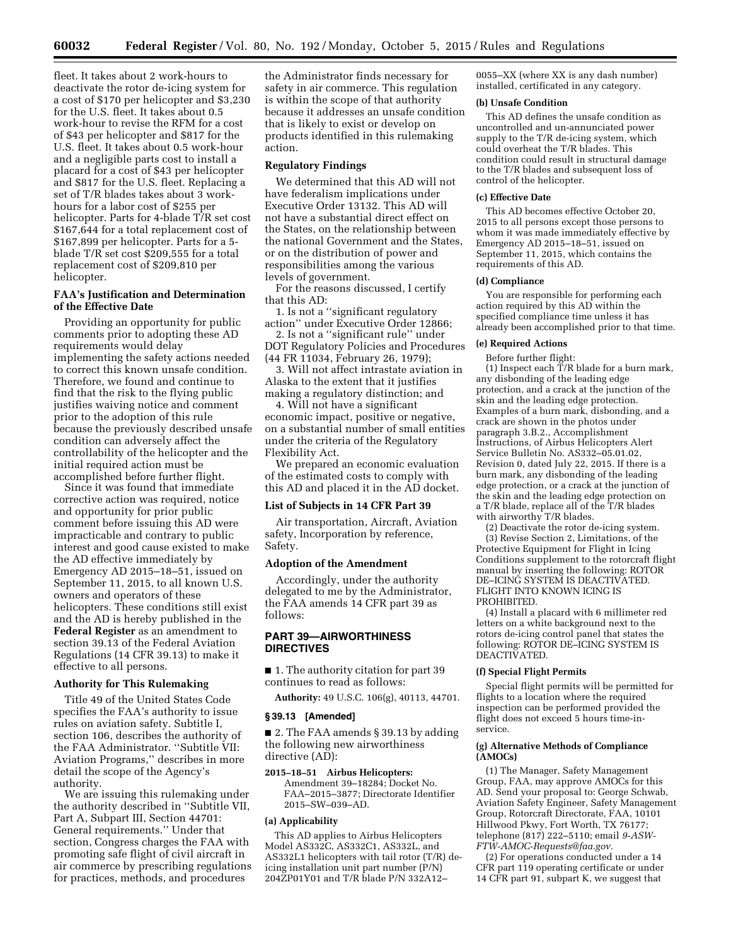fleet. It takes about 2 work-hours to deactivate the rotor de-icing system for a cost of \$170 per helicopter and \$3,230 for the U.S. fleet. It takes about 0.5 work-hour to revise the RFM for a cost of \$43 per helicopter and \$817 for the U.S. fleet. It takes about 0.5 work-hour and a negligible parts cost to install a placard for a cost of \$43 per helicopter and \$817 for the U.S. fleet. Replacing a set of T/R blades takes about 3 workhours for a labor cost of \$255 per helicopter. Parts for 4-blade T/R set cost \$167,644 for a total replacement cost of \$167,899 per helicopter. Parts for a 5 blade T/R set cost \$209,555 for a total replacement cost of \$209,810 per helicopter.

# **FAA's Justification and Determination of the Effective Date**

Providing an opportunity for public comments prior to adopting these AD requirements would delay implementing the safety actions needed to correct this known unsafe condition. Therefore, we found and continue to find that the risk to the flying public justifies waiving notice and comment prior to the adoption of this rule because the previously described unsafe condition can adversely affect the controllability of the helicopter and the initial required action must be accomplished before further flight.

Since it was found that immediate corrective action was required, notice and opportunity for prior public comment before issuing this AD were impracticable and contrary to public interest and good cause existed to make the AD effective immediately by Emergency AD 2015–18–51, issued on September 11, 2015, to all known U.S. owners and operators of these helicopters. These conditions still exist and the AD is hereby published in the **Federal Register** as an amendment to section 39.13 of the Federal Aviation Regulations (14 CFR 39.13) to make it effective to all persons.

#### **Authority for This Rulemaking**

Title 49 of the United States Code specifies the FAA's authority to issue rules on aviation safety. Subtitle I, section 106, describes the authority of the FAA Administrator. ''Subtitle VII: Aviation Programs,'' describes in more detail the scope of the Agency's authority.

We are issuing this rulemaking under the authority described in ''Subtitle VII, Part A, Subpart III, Section 44701: General requirements.'' Under that section, Congress charges the FAA with promoting safe flight of civil aircraft in air commerce by prescribing regulations for practices, methods, and procedures

the Administrator finds necessary for safety in air commerce. This regulation is within the scope of that authority because it addresses an unsafe condition that is likely to exist or develop on products identified in this rulemaking action.

### **Regulatory Findings**

We determined that this AD will not have federalism implications under Executive Order 13132. This AD will not have a substantial direct effect on the States, on the relationship between the national Government and the States, or on the distribution of power and responsibilities among the various levels of government.

For the reasons discussed, I certify that this AD:

1. Is not a ''significant regulatory action'' under Executive Order 12866; 2. Is not a ''significant rule'' under

DOT Regulatory Policies and Procedures (44 FR 11034, February 26, 1979);

3. Will not affect intrastate aviation in Alaska to the extent that it justifies making a regulatory distinction; and

4. Will not have a significant economic impact, positive or negative, on a substantial number of small entities under the criteria of the Regulatory Flexibility Act.

We prepared an economic evaluation of the estimated costs to comply with this AD and placed it in the AD docket.

#### **List of Subjects in 14 CFR Part 39**

Air transportation, Aircraft, Aviation safety, Incorporation by reference, Safety.

## **Adoption of the Amendment**

Accordingly, under the authority delegated to me by the Administrator, the FAA amends 14 CFR part 39 as follows:

# **PART 39—AIRWORTHINESS DIRECTIVES**

■ 1. The authority citation for part 39 continues to read as follows:

**Authority:** 49 U.S.C. 106(g), 40113, 44701.

#### **§ 39.13 [Amended]**

■ 2. The FAA amends § 39.13 by adding the following new airworthiness directive (AD):

**2015–18–51 Airbus Helicopters:**  Amendment 39–18284; Docket No. FAA–2015–3877; Directorate Identifier 2015–SW–039–AD.

#### **(a) Applicability**

This AD applies to Airbus Helicopters Model AS332C, AS332C1, AS332L, and AS332L1 helicopters with tail rotor (T/R) deicing installation unit part number (P/N) 204ZP01Y01 and T/R blade P/N 332A12–

0055–XX (where XX is any dash number) installed, certificated in any category.

#### **(b) Unsafe Condition**

This AD defines the unsafe condition as uncontrolled and un-annunciated power supply to the T/R de-icing system, which could overheat the T/R blades. This condition could result in structural damage to the T/R blades and subsequent loss of control of the helicopter.

#### **(c) Effective Date**

This AD becomes effective October 20, 2015 to all persons except those persons to whom it was made immediately effective by Emergency AD 2015–18–51, issued on September 11, 2015, which contains the requirements of this AD.

#### **(d) Compliance**

You are responsible for performing each action required by this AD within the specified compliance time unless it has already been accomplished prior to that time.

# **(e) Required Actions**

Before further flight:

(1) Inspect each  $\tilde{T}/R$  blade for a burn mark, any disbonding of the leading edge protection, and a crack at the junction of the skin and the leading edge protection. Examples of a burn mark, disbonding, and a crack are shown in the photos under paragraph 3.B.2., Accomplishment Instructions, of Airbus Helicopters Alert Service Bulletin No. AS332–05.01.02, Revision 0, dated July 22, 2015. If there is a burn mark, any disbonding of the leading edge protection, or a crack at the junction of the skin and the leading edge protection on a T/R blade, replace all of the T/R blades with airworthy T/R blades.

(2) Deactivate the rotor de-icing system. (3) Revise Section 2, Limitations, of the Protective Equipment for Flight in Icing Conditions supplement to the rotorcraft flight manual by inserting the following: ROTOR DE–ICING SYSTEM IS DEACTIVATED. FLIGHT INTO KNOWN ICING IS PROHIBITED.

(4) Install a placard with 6 millimeter red letters on a white background next to the rotors de-icing control panel that states the following: ROTOR DE–ICING SYSTEM IS DEACTIVATED.

#### **(f) Special Flight Permits**

Special flight permits will be permitted for flights to a location where the required inspection can be performed provided the flight does not exceed 5 hours time-inservice.

## **(g) Alternative Methods of Compliance (AMOCs)**

(1) The Manager, Safety Management Group, FAA, may approve AMOCs for this AD. Send your proposal to: George Schwab, Aviation Safety Engineer, Safety Management Group, Rotorcraft Directorate, FAA, 10101 Hillwood Pkwy, Fort Worth, TX 76177; telephone (817) 222–5110; email *[9-ASW-](mailto:9-ASW-FTW-AMOC-Requests@faa.gov)[FTW-AMOC-Requests@faa.gov.](mailto:9-ASW-FTW-AMOC-Requests@faa.gov)* 

(2) For operations conducted under a 14 CFR part 119 operating certificate or under 14 CFR part 91, subpart K, we suggest that